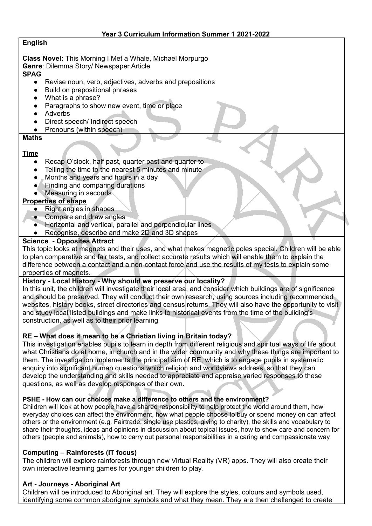# **English**

**Class Novel:** This Morning I Met a Whale, Michael Morpurgo **Genre**: Dilemma Story/ Newspaper Article **SPAG**

- Revise noun, verb, adjectives, adverbs and prepositions
- **Build on prepositional phrases**
- What is a phrase?
- Paragraphs to show new event, time or place
- **Adverbs**
- Direct speech/ Indirect speech
- Pronouns (within speech)

#### **Maths**

#### **Time**

- Recap O'clock, half past, quarter past and quarter to
- Telling the time to the nearest 5 minutes and minute
- Months and years and hours in a day
- Finding and comparing durations
- Measuring in seconds

# **Properties of shape**

- **Right angles in shapes**
- Compare and draw angles
- Horizontal and vertical, parallel and perpendicular lines
- Recognise, describe and make 2D and 3D shapes

#### **Science - Opposites Attract**

This topic looks at magnets and their uses, and what makes magnetic poles special. Children will be able to plan comparative and fair tests, and collect accurate results which will enable them to explain the difference between a contact and a non-contact force and use the results of my tests to explain some properties of magnets.

### **History - Local History - Why should we preserve our locality?**

In this unit, the children will investigate their local area, and consider which buildings are of significance and should be preserved. They will conduct their own research, using sources including recommended websites, history books, street directories and census returns. They will also have the opportunity to visit and study local listed buildings and make links to historical events from the time of the building's construction, as well as to their prior learning

### **RE – What does it mean to be a Christian living in Britain today?**

This investigation enables pupils to learn in depth from different religious and spiritual ways of life about what Christians do at home, in church and in the wider community and why these things are important to them. The investigation implements the principal aim of RE, which is to engage pupils in systematic enquiry into significant human questions which religion and worldviews address, so that they can develop the understanding and skills needed to appreciate and appraise varied responses to these questions, as well as develop responses of their own.

### **PSHE - How can our choices make a difference to others and the environment?**

Children will look at how people have a shared responsibility to help protect the world around them, how everyday choices can affect the environment, how what people choose to buy or spend money on can affect others or the environment (e.g. Fairtrade, single use plastics, giving to charity), the skills and vocabulary to share their thoughts, ideas and opinions in discussion about topical issues, how to show care and concern for others (people and animals), how to carry out personal responsibilities in a caring and compassionate way

### **Computing – Rainforests (IT focus)**

The children will explore rainforests through new Virtual Reality (VR) apps. They will also create their own interactive learning games for younger children to play.

### **Art - Journeys - Aboriginal Art**

Children will be introduced to Aboriginal art. They will explore the styles, colours and symbols used, identifying some common aboriginal symbols and what they mean. They are then challenged to create